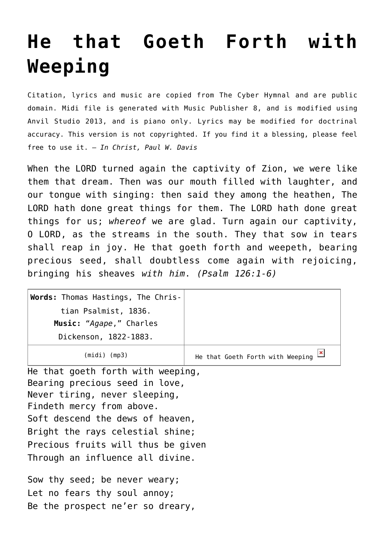## **[He that Goeth Forth with](http://reproachofmen.org/hymns-and-music/he-that-goeth-forth-with-weeping/) [Weeping](http://reproachofmen.org/hymns-and-music/he-that-goeth-forth-with-weeping/)**

Citation, lyrics and music are copied from [The Cyber Hymnal](http://www.hymntime.com/tch/) and are public domain. Midi file is generated with [Music Publisher 8](http://www.braeburn.co.uk/mp.htm), and is modified using [Anvil Studio 2013](http://www.anvilstudio.com/), and is piano only. Lyrics may be modified for doctrinal accuracy. This version is not copyrighted. If you find it a blessing, please feel free to use it. — *In Christ, Paul W. Davis*

When the LORD turned again the captivity of Zion, we were like them that dream. Then was our mouth filled with laughter, and our tongue with singing: then said they among the heathen, The LORD hath done great things for them. The LORD hath done great things for us; *whereof* we are glad. Turn again our captivity, O LORD, as the streams in the south. They that sow in tears shall reap in joy. He that goeth forth and weepeth, bearing precious seed, shall doubtless come again with rejoicing, bringing his sheaves *with him*. *(Psalm 126:1-6)*

| $(midi)$ (mp3)                     | He that Goeth Forth with Weeping |
|------------------------------------|----------------------------------|
| Dickenson, 1822-1883.              |                                  |
| Music: "Agape," Charles            |                                  |
| tian Psalmist, 1836.               |                                  |
| Words: Thomas Hastings, The Chris- |                                  |

He that goeth forth with weeping, Bearing precious seed in love, Never tiring, never sleeping, Findeth mercy from above. Soft descend the dews of heaven, Bright the rays celestial shine; Precious fruits will thus be given Through an influence all divine.

Sow thy seed; be never weary; Let no fears thy soul annoy; Be the prospect ne'er so dreary,